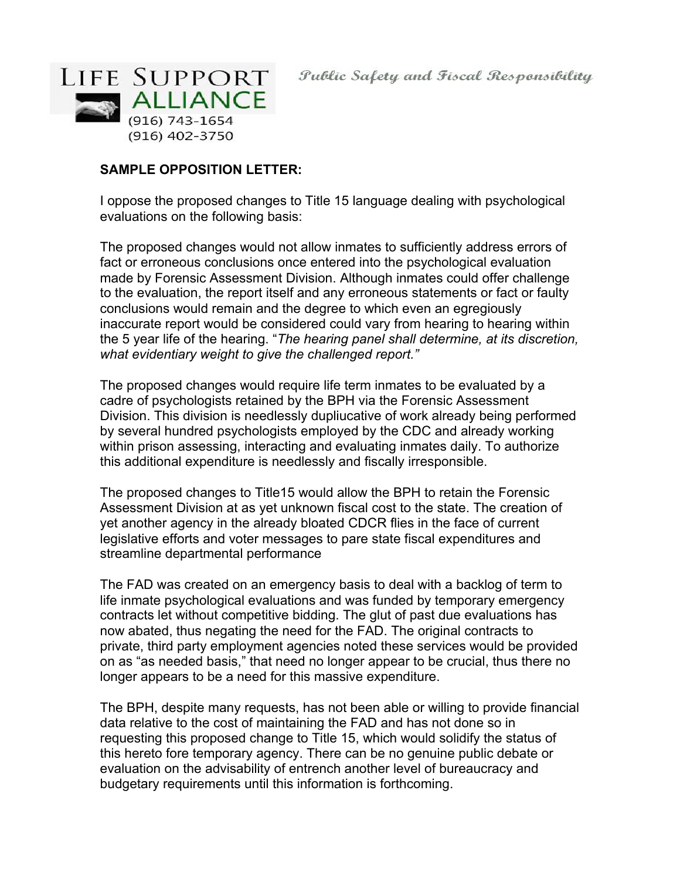

# **SAMPLE OPPOSITION LETTER:**

I oppose the proposed changes to Title 15 language dealing with psychological evaluations on the following basis:

The proposed changes would not allow inmates to sufficiently address errors of fact or erroneous conclusions once entered into the psychological evaluation made by Forensic Assessment Division. Although inmates could offer challenge to the evaluation, the report itself and any erroneous statements or fact or faulty conclusions would remain and the degree to which even an egregiously inaccurate report would be considered could vary from hearing to hearing within the 5 year life of the hearing. "*The hearing panel shall determine, at its discretion, what evidentiary weight to give the challenged report."*

The proposed changes would require life term inmates to be evaluated by a cadre of psychologists retained by the BPH via the Forensic Assessment Division. This division is needlessly dupliucative of work already being performed by several hundred psychologists employed by the CDC and already working within prison assessing, interacting and evaluating inmates daily. To authorize this additional expenditure is needlessly and fiscally irresponsible.

The proposed changes to Title15 would allow the BPH to retain the Forensic Assessment Division at as yet unknown fiscal cost to the state. The creation of yet another agency in the already bloated CDCR flies in the face of current legislative efforts and voter messages to pare state fiscal expenditures and streamline departmental performance

The FAD was created on an emergency basis to deal with a backlog of term to life inmate psychological evaluations and was funded by temporary emergency contracts let without competitive bidding. The glut of past due evaluations has now abated, thus negating the need for the FAD. The original contracts to private, third party employment agencies noted these services would be provided on as "as needed basis," that need no longer appear to be crucial, thus there no longer appears to be a need for this massive expenditure.

The BPH, despite many requests, has not been able or willing to provide financial data relative to the cost of maintaining the FAD and has not done so in requesting this proposed change to Title 15, which would solidify the status of this hereto fore temporary agency. There can be no genuine public debate or evaluation on the advisability of entrench another level of bureaucracy and budgetary requirements until this information is forthcoming.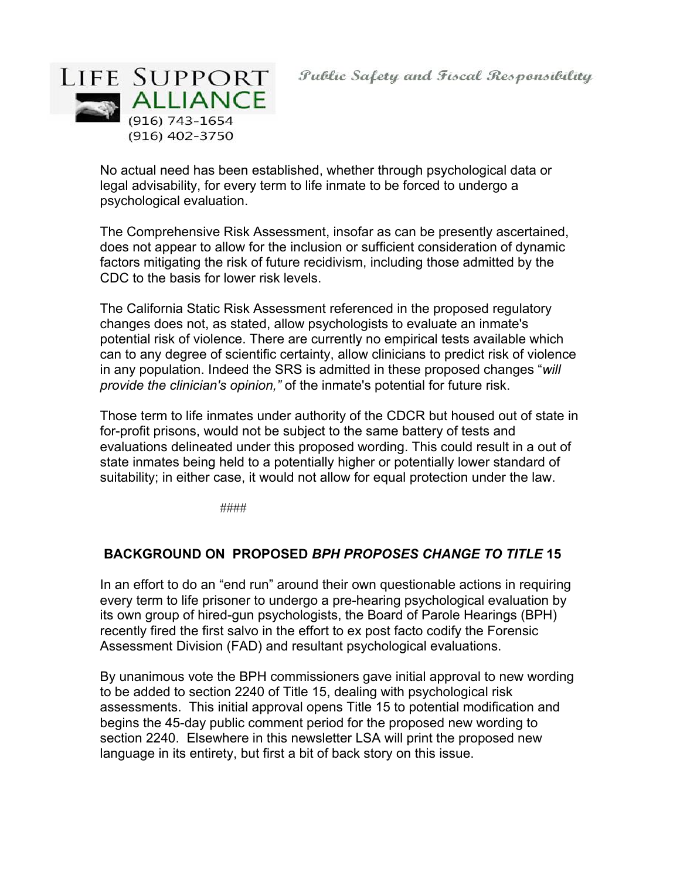

No actual need has been established, whether through psychological data or legal advisability, for every term to life inmate to be forced to undergo a psychological evaluation.

The Comprehensive Risk Assessment, insofar as can be presently ascertained, does not appear to allow for the inclusion or sufficient consideration of dynamic factors mitigating the risk of future recidivism, including those admitted by the CDC to the basis for lower risk levels.

The California Static Risk Assessment referenced in the proposed regulatory changes does not, as stated, allow psychologists to evaluate an inmate's potential risk of violence. There are currently no empirical tests available which can to any degree of scientific certainty, allow clinicians to predict risk of violence in any population. Indeed the SRS is admitted in these proposed changes "*will provide the clinician's opinion,"* of the inmate's potential for future risk.

Those term to life inmates under authority of the CDCR but housed out of state in for-profit prisons, would not be subject to the same battery of tests and evaluations delineated under this proposed wording. This could result in a out of state inmates being held to a potentially higher or potentially lower standard of suitability; in either case, it would not allow for equal protection under the law.

####

# **BACKGROUND ON PROPOSED** *BPH PROPOSES CHANGE TO TITLE* **15**

In an effort to do an "end run" around their own questionable actions in requiring every term to life prisoner to undergo a pre-hearing psychological evaluation by its own group of hired-gun psychologists, the Board of Parole Hearings (BPH) recently fired the first salvo in the effort to ex post facto codify the Forensic Assessment Division (FAD) and resultant psychological evaluations.

By unanimous vote the BPH commissioners gave initial approval to new wording to be added to section 2240 of Title 15, dealing with psychological risk assessments. This initial approval opens Title 15 to potential modification and begins the 45-day public comment period for the proposed new wording to section 2240. Elsewhere in this newsletter LSA will print the proposed new language in its entirety, but first a bit of back story on this issue.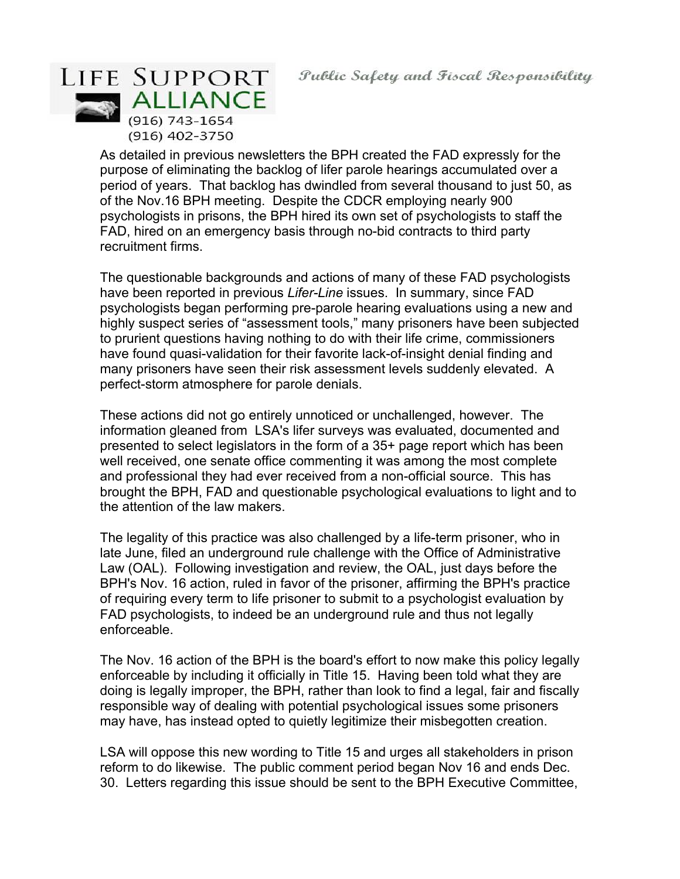LIFE SUPPORT **ALLIANCE** (916) 743-1654 (916) 402-3750

> As detailed in previous newsletters the BPH created the FAD expressly for the purpose of eliminating the backlog of lifer parole hearings accumulated over a period of years. That backlog has dwindled from several thousand to just 50, as of the Nov.16 BPH meeting. Despite the CDCR employing nearly 900 psychologists in prisons, the BPH hired its own set of psychologists to staff the FAD, hired on an emergency basis through no-bid contracts to third party recruitment firms.

The questionable backgrounds and actions of many of these FAD psychologists have been reported in previous *Lifer-Line* issues. In summary, since FAD psychologists began performing pre-parole hearing evaluations using a new and highly suspect series of "assessment tools," many prisoners have been subjected to prurient questions having nothing to do with their life crime, commissioners have found quasi-validation for their favorite lack-of-insight denial finding and many prisoners have seen their risk assessment levels suddenly elevated. A perfect-storm atmosphere for parole denials.

These actions did not go entirely unnoticed or unchallenged, however. The information gleaned from LSA's lifer surveys was evaluated, documented and presented to select legislators in the form of a 35+ page report which has been well received, one senate office commenting it was among the most complete and professional they had ever received from a non-official source. This has brought the BPH, FAD and questionable psychological evaluations to light and to the attention of the law makers.

The legality of this practice was also challenged by a life-term prisoner, who in late June, filed an underground rule challenge with the Office of Administrative Law (OAL). Following investigation and review, the OAL, just days before the BPH's Nov. 16 action, ruled in favor of the prisoner, affirming the BPH's practice of requiring every term to life prisoner to submit to a psychologist evaluation by FAD psychologists, to indeed be an underground rule and thus not legally enforceable.

The Nov. 16 action of the BPH is the board's effort to now make this policy legally enforceable by including it officially in Title 15. Having been told what they are doing is legally improper, the BPH, rather than look to find a legal, fair and fiscally responsible way of dealing with potential psychological issues some prisoners may have, has instead opted to quietly legitimize their misbegotten creation.

LSA will oppose this new wording to Title 15 and urges all stakeholders in prison reform to do likewise. The public comment period began Nov 16 and ends Dec. 30. Letters regarding this issue should be sent to the BPH Executive Committee,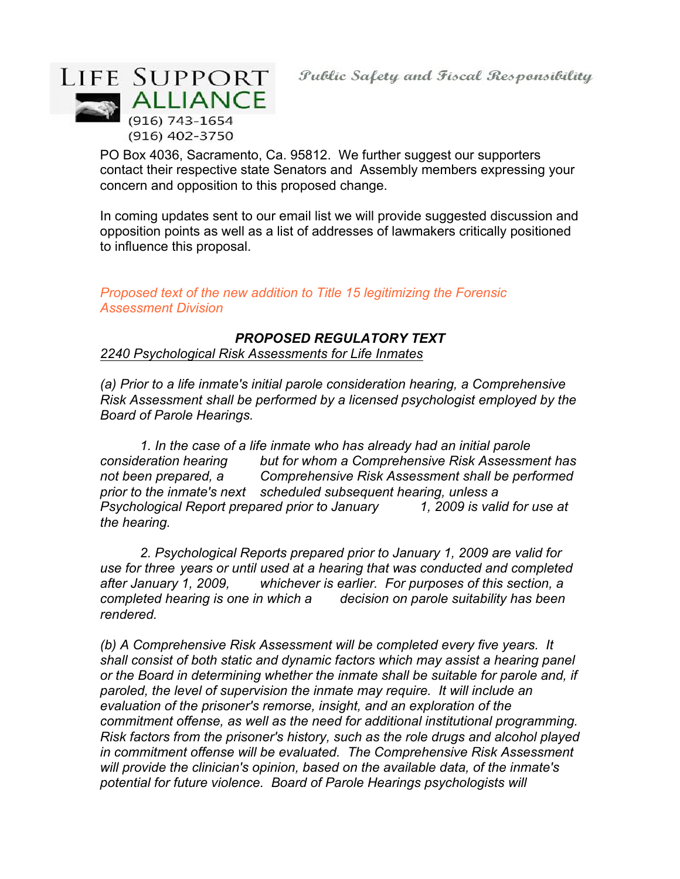

PO Box 4036, Sacramento, Ca. 95812. We further suggest our supporters contact their respective state Senators and Assembly members expressing your concern and opposition to this proposed change.

In coming updates sent to our email list we will provide suggested discussion and opposition points as well as a list of addresses of lawmakers critically positioned to influence this proposal.

# *Proposed text of the new addition to Title 15 legitimizing the Forensic Assessment Division*

# *PROPOSED REGULATORY TEXT*

#### *2240 Psychological Risk Assessments for Life Inmates*

*(a) Prior to a life inmate's initial parole consideration hearing, a Comprehensive Risk Assessment shall be performed by a licensed psychologist employed by the Board of Parole Hearings.*

*1. In the case of a life inmate who has already had an initial parole consideration hearing but for whom a Comprehensive Risk Assessment has not been prepared, a Comprehensive Risk Assessment shall be performed prior to the inmate's next scheduled subsequent hearing, unless a Psychological Report prepared prior to January 1, 2009 is valid for use at the hearing.*

*2. Psychological Reports prepared prior to January 1, 2009 are valid for use for three years or until used at a hearing that was conducted and completed after January 1, 2009, whichever is earlier. For purposes of this section, a completed hearing is one in which a decision on parole suitability has been rendered.*

*(b) A Comprehensive Risk Assessment will be completed every five years. It shall consist of both static and dynamic factors which may assist a hearing panel or the Board in determining whether the inmate shall be suitable for parole and, if paroled, the level of supervision the inmate may require. It will include an evaluation of the prisoner's remorse, insight, and an exploration of the commitment offense, as well as the need for additional institutional programming. Risk factors from the prisoner's history, such as the role drugs and alcohol played in commitment offense will be evaluated. The Comprehensive Risk Assessment will provide the clinician's opinion, based on the available data, of the inmate's potential for future violence. Board of Parole Hearings psychologists will*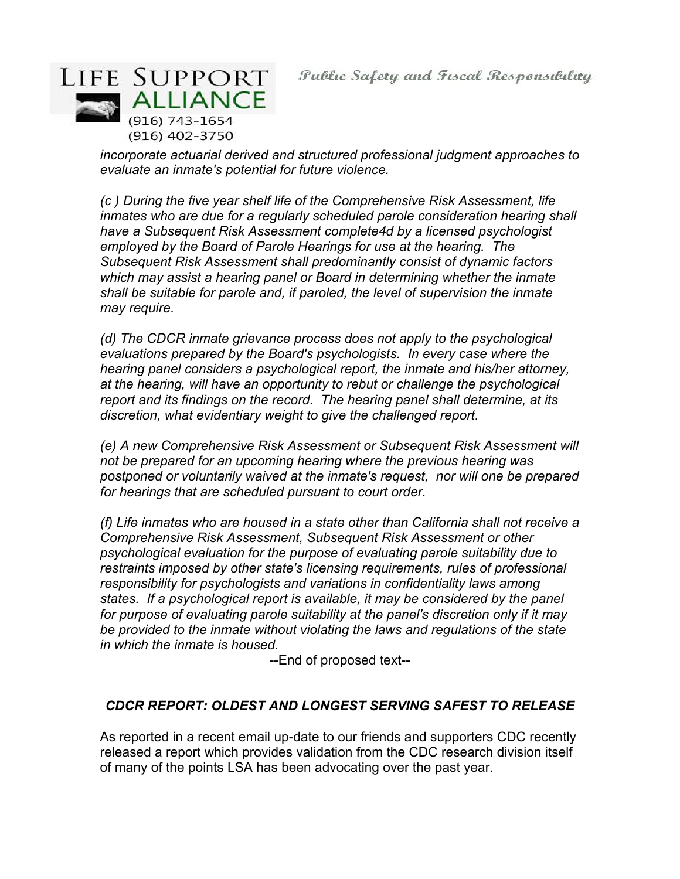

*incorporate actuarial derived and structured professional judgment approaches to evaluate an inmate's potential for future violence.*

*(c ) During the five year shelf life of the Comprehensive Risk Assessment, life inmates who are due for a regularly scheduled parole consideration hearing shall have a Subsequent Risk Assessment complete4d by a licensed psychologist employed by the Board of Parole Hearings for use at the hearing. The Subsequent Risk Assessment shall predominantly consist of dynamic factors which may assist a hearing panel or Board in determining whether the inmate shall be suitable for parole and, if paroled, the level of supervision the inmate may require.*

*(d) The CDCR inmate grievance process does not apply to the psychological evaluations prepared by the Board's psychologists. In every case where the hearing panel considers a psychological report, the inmate and his/her attorney, at the hearing, will have an opportunity to rebut or challenge the psychological report and its findings on the record. The hearing panel shall determine, at its discretion, what evidentiary weight to give the challenged report.*

*(e) A new Comprehensive Risk Assessment or Subsequent Risk Assessment will not be prepared for an upcoming hearing where the previous hearing was postponed or voluntarily waived at the inmate's request, nor will one be prepared for hearings that are scheduled pursuant to court order.*

*(f) Life inmates who are housed in a state other than California shall not receive a Comprehensive Risk Assessment, Subsequent Risk Assessment or other psychological evaluation for the purpose of evaluating parole suitability due to restraints imposed by other state's licensing requirements, rules of professional responsibility for psychologists and variations in confidentiality laws among states. If a psychological report is available, it may be considered by the panel for purpose of evaluating parole suitability at the panel's discretion only if it may be provided to the inmate without violating the laws and regulations of the state in which the inmate is housed.*

--End of proposed text--

# *CDCR REPORT: OLDEST AND LONGEST SERVING SAFEST TO RELEASE*

As reported in a recent email up-date to our friends and supporters CDC recently released a report which provides validation from the CDC research division itself of many of the points LSA has been advocating over the past year.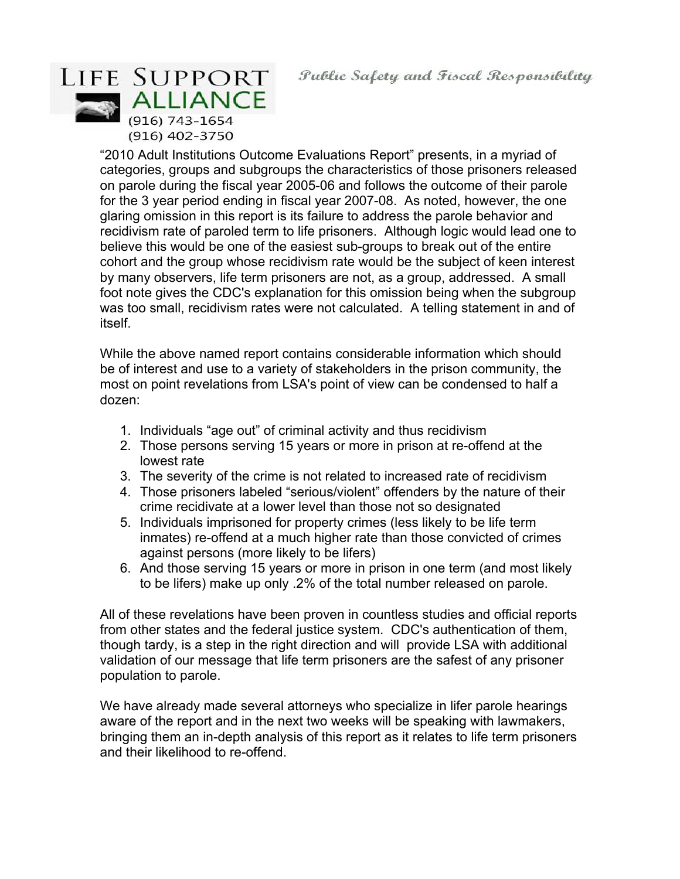# LIFE SUPPORT **ALLIANCE**  $(916) 743 - 1654$ (916) 402-3750

"2010 Adult Institutions Outcome Evaluations Report" presents, in a myriad of categories, groups and subgroups the characteristics of those prisoners released on parole during the fiscal year 2005-06 and follows the outcome of their parole for the 3 year period ending in fiscal year 2007-08. As noted, however, the one glaring omission in this report is its failure to address the parole behavior and recidivism rate of paroled term to life prisoners. Although logic would lead one to believe this would be one of the easiest sub-groups to break out of the entire cohort and the group whose recidivism rate would be the subject of keen interest by many observers, life term prisoners are not, as a group, addressed. A small foot note gives the CDC's explanation for this omission being when the subgroup was too small, recidivism rates were not calculated. A telling statement in and of itself.

While the above named report contains considerable information which should be of interest and use to a variety of stakeholders in the prison community, the most on point revelations from LSA's point of view can be condensed to half a dozen:

- 1. Individuals "age out" of criminal activity and thus recidivism
- 2. Those persons serving 15 years or more in prison at re-offend at the lowest rate
- 3. The severity of the crime is not related to increased rate of recidivism
- 4. Those prisoners labeled "serious/violent" offenders by the nature of their crime recidivate at a lower level than those not so designated
- 5. Individuals imprisoned for property crimes (less likely to be life term inmates) re-offend at a much higher rate than those convicted of crimes against persons (more likely to be lifers)
- 6. And those serving 15 years or more in prison in one term (and most likely to be lifers) make up only .2% of the total number released on parole.

All of these revelations have been proven in countless studies and official reports from other states and the federal justice system. CDC's authentication of them, though tardy, is a step in the right direction and will provide LSA with additional validation of our message that life term prisoners are the safest of any prisoner population to parole.

We have already made several attorneys who specialize in lifer parole hearings aware of the report and in the next two weeks will be speaking with lawmakers, bringing them an in-depth analysis of this report as it relates to life term prisoners and their likelihood to re-offend.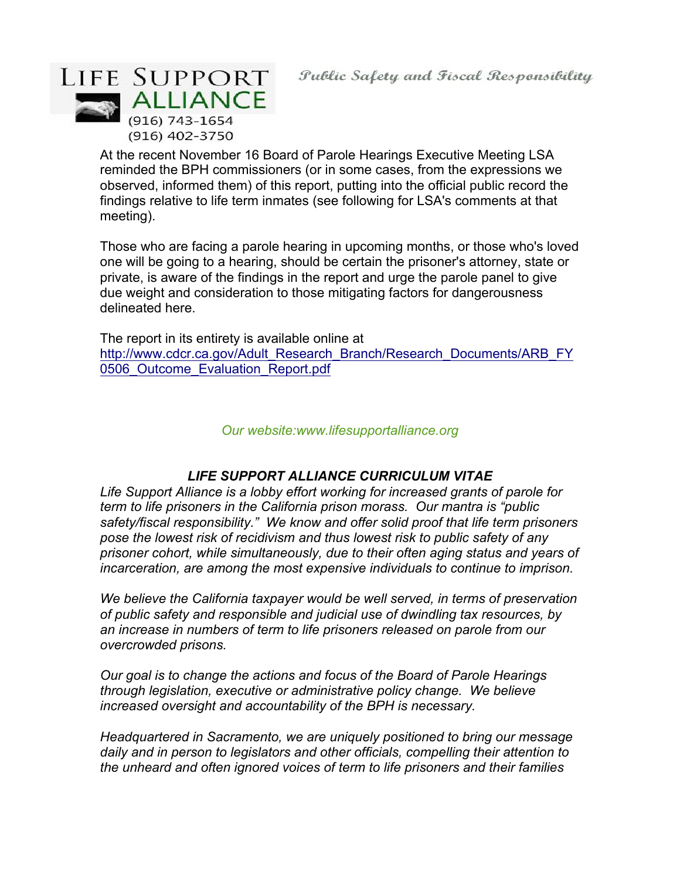

At the recent November 16 Board of Parole Hearings Executive Meeting LSA reminded the BPH commissioners (or in some cases, from the expressions we observed, informed them) of this report, putting into the official public record the findings relative to life term inmates (see following for LSA's comments at that meeting).

Those who are facing a parole hearing in upcoming months, or those who's loved one will be going to a hearing, should be certain the prisoner's attorney, state or private, is aware of the findings in the report and urge the parole panel to give due weight and consideration to those mitigating factors for dangerousness delineated here.

The report in its entirety is available online at http://www.cdcr.ca.gov/Adult\_Research\_Branch/Research\_Documents/ARB\_FY 0506 Outcome Evaluation Report.pdf

*Our website:www.lifesupportalliance.org*

# *LIFE SUPPORT ALLIANCE CURRICULUM VITAE*

*Life Support Alliance is a lobby effort working for increased grants of parole for term to life prisoners in the California prison morass. Our mantra is "public safety/fiscal responsibility." We know and offer solid proof that life term prisoners pose the lowest risk of recidivism and thus lowest risk to public safety of any prisoner cohort, while simultaneously, due to their often aging status and years of incarceration, are among the most expensive individuals to continue to imprison.*

*We believe the California taxpayer would be well served, in terms of preservation of public safety and responsible and judicial use of dwindling tax resources, by an increase in numbers of term to life prisoners released on parole from our overcrowded prisons.*

*Our goal is to change the actions and focus of the Board of Parole Hearings through legislation, executive or administrative policy change. We believe increased oversight and accountability of the BPH is necessary.*

*Headquartered in Sacramento, we are uniquely positioned to bring our message daily and in person to legislators and other officials, compelling their attention to the unheard and often ignored voices of term to life prisoners and their families*